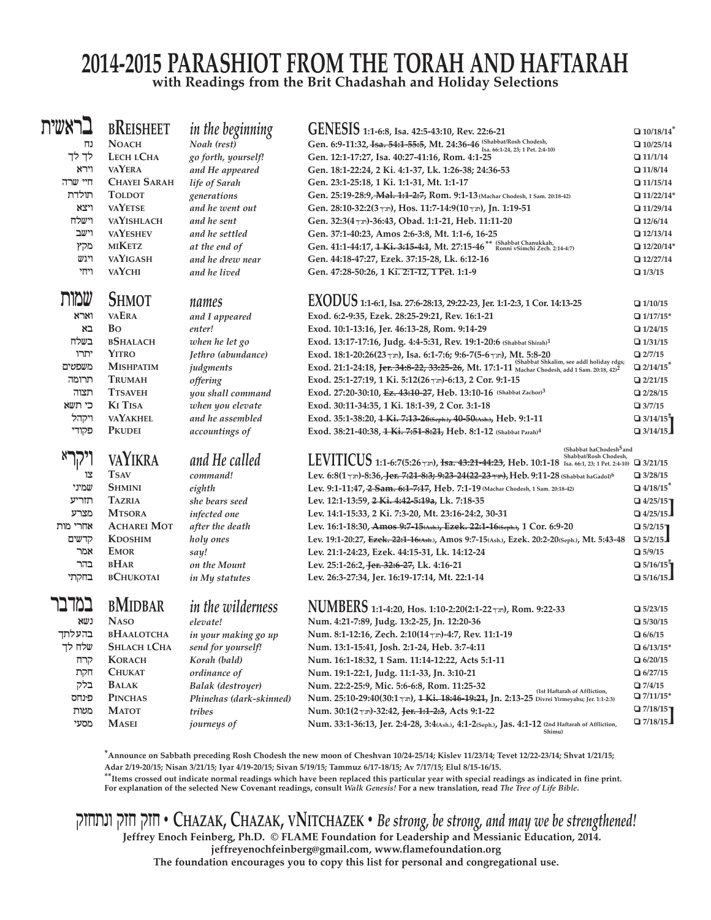## **2014-2015 PaRaShiot FRoM the toRah aND haFtaRah with Readings from the brit Chadashah and holiday Selections**

| בראשית   | <b>BREISHEET</b>    | in the beginning         | GENESIS 1:1-6:8, Isa. 42:5-43:10, Rev. 22:6-21                                                                                                        | $\Box$ 10/18/14             |
|----------|---------------------|--------------------------|-------------------------------------------------------------------------------------------------------------------------------------------------------|-----------------------------|
| נח       | <b>NOACH</b>        | Noah (rest)              | Gen. 6:9-11:32, Isa. 54:1-55:5, Mt. 24:36-46 [Shabbat/Rosh Chodesh,<br>Isa. 66:1-24, 23; 1 Pet. 2:4-10)                                               | $\Box$ 10/25/14             |
| לך לך    | LECH LCHA           | go forth, yourself!      | Gen. 12:1-17:27, Isa. 40:27-41:16, Rom. 4:1-25                                                                                                        | $\Box$ 11/1/14              |
| וירא     | <b>VAYERA</b>       | and He appeared          | Gen. 18:1-22:24, 2 Ki. 4:1-37, Lk. 1:26-38; 24:36-53                                                                                                  | $\Box$ 11/8/14              |
| חיי שרה  | <b>CHAYEI SARAH</b> | life of Sarah            | Gen. 23:1-25:18, 1 Ki. 1:1-31, Mt. 1:1-17                                                                                                             | $\Box$ 11/15/14             |
| תולדת    | <b>TOLDOT</b>       | generations              | Gen. 25:19-28:9, Mal. 1:1-2:7, Rom. 9:1-13 (Machar Chodesh, 1 Sam. 20:18-42)                                                                          | $\Box$ 11/22/14*            |
| ויצא     | <b>VAYETSE</b>      | and he went out          | Gen. 28:10-32:2(3 תורך 11:7-14:9(10 Mos. 11:7-14:9(10), Jn. 1:19-51                                                                                   | $\Box$ 11/29/14             |
| וישלח    | VAYISHLACH          | and he sent              | Gen. 32:3(4 Tm)-36:43, Obad. 1:1-21, Heb. 11:11-20                                                                                                    | $\Box$ 12/6/14              |
| וישב     | <b>VAYESHEV</b>     | and he settled           | Gen. 37:1-40:23, Amos 2:6-3:8, Mt. 1:1-6, 16-25                                                                                                       | $\Box$ 12/13/14             |
| מקץ      | <b>MIKETZ</b>       | at the end of            | Gen. 41:1-44:17, 1 Ki. 3:15-4:1, Mt. 27:15-46 <sup>**</sup> Konni vSimchi Zech. 2:14-4:7)                                                             | $\Box$ 12/20/14*            |
| ויגש     | <b>VAYIGASH</b>     | and he drew near         | Gen. 44:18-47:27, Ezek. 37:15-28, Lk. 6:12-16                                                                                                         | $\Box$ 12/27/14             |
| ויחי     | <b>VAYCHI</b>       | and he lived             | Gen. 47:28-50:26, 1 Ki. 2:1-12, 1 Pet. 1:1-9                                                                                                          | $\Box$ 1/3/15               |
| שמות     | <b>SHMOT</b>        | names                    | EXODUS 1:1-6:1, Isa. 27:6-28:13, 29:22-23, Jer. 1:1-2:3, 1 Cor. 14:13-25                                                                              |                             |
| וארא     | <b>VAERA</b>        |                          | Exod. 6:2-9:35, Ezek. 28:25-29:21, Rev. 16:1-21                                                                                                       | $\Box$ 1/10/15              |
| בא       | <b>B</b> o          | and I appeared           |                                                                                                                                                       | $\Box$ 1/17/15*             |
| בשלח     | <b>BSHALACH</b>     | enter!                   | Exod. 10:1-13:16, Jer. 46:13-28, Rom. 9:14-29                                                                                                         | $\Box$ 1/24/15              |
|          | <b>YITRO</b>        | when he let go           | Exod. 13:17-17:16, Judg. 4:4-5:31, Rev. 19:1-20:6 (Shabbat Shirah) <sup>1</sup>                                                                       | $\Box$ 1/31/15              |
| יתרו     |                     | Jethro (abundance)       |                                                                                                                                                       | $\Box$ 2/7/15               |
| משפטים   | <b>MISHPATIM</b>    | judgments                | Exod. 21:1-24:18, Jer. 34:8-22, 33:25-26, Mt. 17:1-11 Machar Chodesh, add 1 Sam. 20:18, 42) <sup>2</sup>                                              | $2/14/15$ <sup>*</sup>      |
| תרומה    | <b>TRUMAH</b>       | offering                 | Exod. 25:1-27:19, 1 Ki. 5:12(26 \m)-6:13, 2 Cor. 9:1-15                                                                                               | 2/21/15                     |
| תצוה     | <b>TTSAVEH</b>      | you shall command        | Exod. 27:20-30:10, Ez. 43:10-27, Heb. 13:10-16 (Shabbat Zachor) <sup>3</sup>                                                                          | 2/28/15                     |
| כי תשא   | <b>KI TISA</b>      | when you elevate         | Exod. 30:11-34:35, 1 Ki. 18:1-39, 2 Cor. 3:1-18                                                                                                       | $\Box$ 3/7/15               |
| ויקהל    | <b>VAYAKHEL</b>     | and he assembled         | Exod. 35:1-38:20, 1 Ki. 7:13-26(Seph.), 40-50(Ash.), Heb. 9:1-11                                                                                      | $\Box$ 3/14/15 $\tilde{}$   |
| פקודי    | <b>PKUDEI</b>       | accountings of           | Exod. 38:21-40:38, 4 Ki. 7:51-8:21, Heb. 8:1-12 (Shabbat Parah) <sup>4</sup>                                                                          | $\Box$ 3/14/15              |
|          | <b>VAYIKRA</b>      | and He called            | (Shabbat haChodesh <sup>5</sup> and                                                                                                                   |                             |
|          |                     |                          | <b>LEVITICUS</b> 1:1-6:7(5:26 <sub>T</sub> m), <del>Isa. 43:21-44:23</del> , Heb. 10:1-18 Isa. 66:1, 23; 1 Pet. 2:4-10) <b>Q</b> 3/21/15              |                             |
| צו       | <b>TSAV</b>         | command!                 | Lev. 6:8(1 \m)-8:36, Jer. 7:21-8:3; 9:23-24(22-23 \m), Heb. 9:11-28 (Shabbat haGadol) <sup>6</sup>                                                    | $\Box$ 3/28/15              |
| שמיני    | <b>SHMINI</b>       | eighth                   | Lev. 9:1-11:47, 2 Sam. 6:1-7:17, Heb. 7:1-19 (Machar Chodesh, 1 Sam. 20:18-42)                                                                        | $\Box$ 4/18/15 <sup>*</sup> |
| תזריע    | <b>TAZRIA</b>       | she bears seed           | Lev. 12:1-13:59, 2 Ki. 4:42-5:19a, Lk. 7:18-35                                                                                                        | $\Box$ 4/25/15              |
| מצרע     | <b>MTSORA</b>       | infected one             | Lev. 14:1-15:33, 2 Ki. 7:3-20, Mt. 23:16-24:2, 30-31                                                                                                  | $\Box$ 4/25/15              |
| אחרי מות | <b>ACHAREI MOT</b>  | after the death          | Lev. 16:1-18:30, Amos 9:7-15(Ash.), Ezek. 22:1-16(Seph.), 1 Cor. 6:9-20                                                                               | $\Box$ 5/2/15               |
| קדשים    | <b>KDOSHIM</b>      | holy ones                | Lev. 19:1-20:27, Ezek. 22:1-16(Ash.), Amos 9:7-15(Ash.), Ezek. 20:2-20(Seph.), Mt. 5:43-48                                                            | $\Box$ 5/2/15               |
| אמר      | <b>EMOR</b>         | say!                     | Lev. 21:1-24:23, Ezek. 44:15-31, Lk. 14:12-24                                                                                                         | $\Box$ 5/9/15               |
| בהר      | <b>BHAR</b>         | on the Mount             | Lev. 25:1-26:2, Jer. 32:6-27, Lk. 4:16-21                                                                                                             | $\Box$ 5/16/15 $\tilde{}$   |
| בחקתי    | <b>BCHUKOTAI</b>    | in My statutes           | Lev. 26:3-27:34, Jer. 16:19-17:14, Mt. 22:1-14                                                                                                        | $\Box$ 5/16/15              |
| במדבו    | <b>BMIDBAR</b>      | <i>in the wilderness</i> |                                                                                                                                                       | $\Box$ 5/23/15              |
| נשא      | <b>NASO</b>         | elevate!                 | Num. 4:21-7:89, Judg. 13:2-25, Jn. 12:20-36                                                                                                           | $\Box$ 5/30/15              |
| בהעלתך   | <b>BHAALOTCHA</b>   | in your making go up     | Num. 8:1-12:16, Zech. 2:10(14 \m)-4:7, Rev. 11:1-19                                                                                                   | $\Box$ 6/6/15               |
| שלח לך   | SHLACH LCHA         | send for yourself!       | Num. 13:1-15:41, Josh. 2:1-24, Heb. 3:7-4:11                                                                                                          | $\Box$ 6/13/15*             |
| קרח      | <b>KORACH</b>       | Korah (bald)             | Num. 16:1-18:32, 1 Sam. 11:14-12:22, Acts 5:1-11                                                                                                      | $\Box$ 6/20/15              |
| חקת      | <b>CHUKAT</b>       | ordinance of             | Num. 19:1-22:1, Judg. 11:1-33, Jn. 3:10-21                                                                                                            | $\Box$ 6/27/15              |
| בלק      | <b>BALAK</b>        | Balak (destroyer)        | Num. 22:2-25:9, Mic. 5:6-6:8, Rom. 11:25-32                                                                                                           | $\Box$ 7/4/15               |
| פינחס    | <b>PINCHAS</b>      | Phinehas (dark-skinned)  | (1st Haftarah of Affliction,<br>N <b>um, 25:10-29:40(30:1<sub>T</sub>), <del>1 Ki, 18:46-19:21,</del> Jn, 2:13-25</b> Divrei Yirmeyahu; Jer. 1:1-2:3) | $\Box$ 7/11/15*             |
| מטות     | <b>MATOT</b>        | tribes                   | Num. 30:1(2 \m)-32:42, Jer. 1:1-2:3, Acts 9:1-22                                                                                                      | $\Box$ 7/18/15ך             |
| מסעי     | <b>MASEI</b>        | <i>journeys of</i>       | Num. 33:1-36:13, Jer. 2:4-28, 3:4(Ash.), 4:1-2(Seph.), Jas. 4:1-12 (2nd Haftarah of Affliction,                                                       | $\Box$ 7/18/15              |
|          |                     |                          | Shimu)                                                                                                                                                |                             |

\*Announce on Sabbath preceding Rosh Chodesh the new moon of Cheshvan 10/24-25/14; Kislev 11/23/14; Tevet 12/22-23/14; Shvat 1/21/15; **adar 2/19-20/15; Nisan 3/21/15; iyar 4/19-20/15; Sivan 5/19/15; tammuz 6/17-18/15; av 7/17/15; elul 8/15-16/15.**

 $^{\ast}$ Items crossed out indicate normal readings which have been replaced this particular year with special readings as indicated in fine print. For explanation of the selected New Covenant readings, consult Walk Genesis! For a new translation, read The Tree of Life Bible.

qzctnv qzc qzc . **Chazak, Chazak, vNitChazek** . *Be strong, be strong, and may we be strengthened!* **Jeffrey enoch Feinberg, Ph.D. © FLaMe Foundation for Leadership and Messianic education, 2014. jeffreyenochfeinberg@gmail.com, www.flamefoundation.org**

**the foundation encourages you to copy this list for personal and congregational use.**